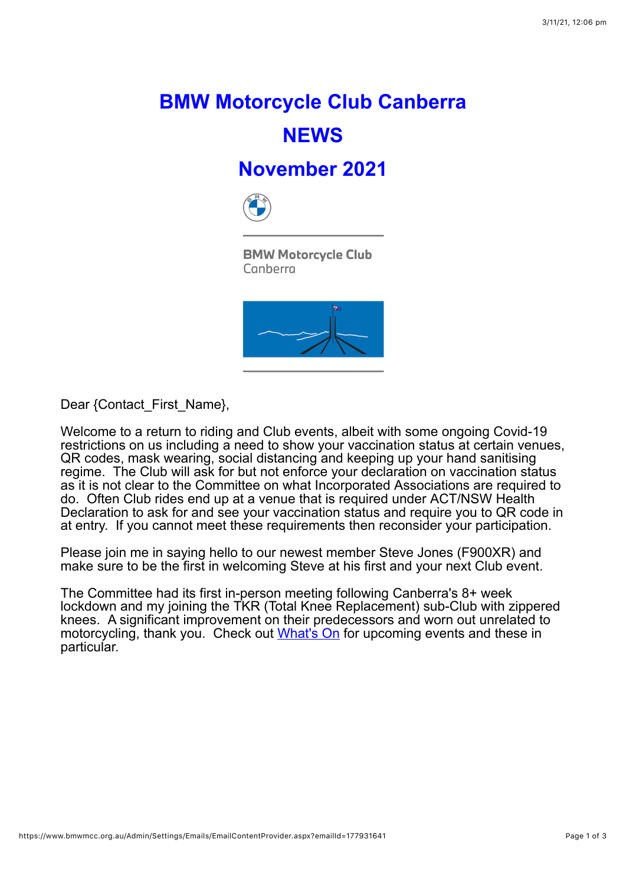## **BMW Motorcycle Club Canberra NEWS**

## **November 2021**



**BMW Motorcycle Club** Canberra



Dear {Contact\_First\_Name},

Welcome to a return to riding and Club events, albeit with some ongoing Covid-19 restrictions on us including a need to show your vaccination status at certain venues, QR codes, mask wearing, social distancing and keeping up your hand sanitising regime. The Club will ask for but not enforce your declaration on vaccination status as it is not clear to the Committee on what Incorporated Associations are required to do. Often Club rides end up at a venue that is required under ACT/NSW Health Declaration to ask for and see your vaccination status and require you to QR code in at entry. If you cannot meet these requirements then reconsider your participation.

Please join me in saying hello to our newest member Steve Jones (F900XR) and make sure to be the first in welcoming Steve at his first and your next Club event.

The Committee had its first in-person meeting following Canberra's 8+ week lockdown and my joining the TKR (Total Knee Replacement) sub-Club with zippered knees. A significant improvement on their predecessors and worn out unrelated to motorcycling, thank you. Check out [What's On](https://www.bmwmcc.org.au/page-1419638) for upcoming events and these in particular.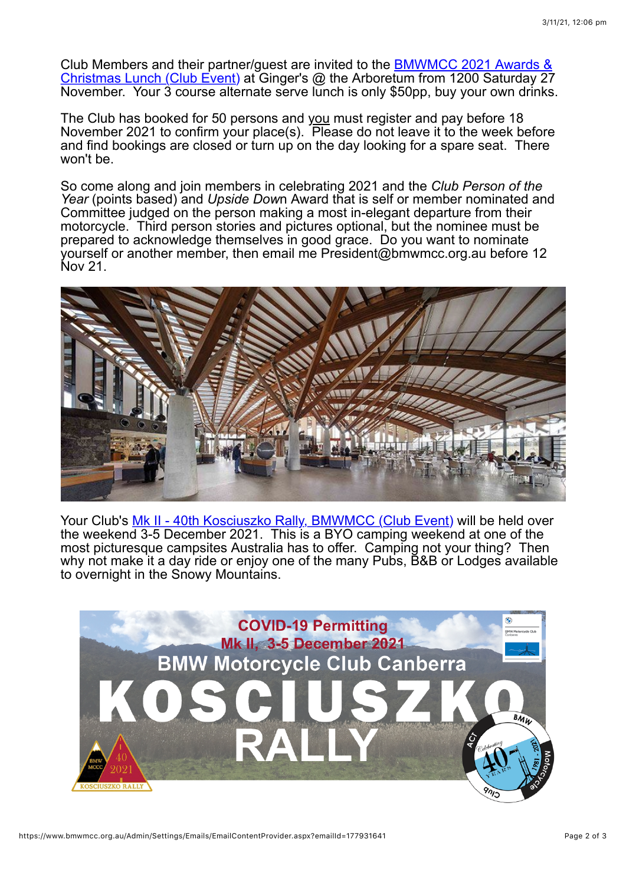[Club Members and their partner/guest are invited to the BMWMCC 2021 Awards &](https://www.bmwmcc.org.au/event-4542425) Christmas Lunch (Club Event) at Ginger's @ the Arboretum from 1200 Saturday 27 November. Your 3 course alternate serve lunch is only \$50pp, buy your own drinks.

The Club has booked for 50 persons and you must register and pay before 18 November 2021 to confirm your place(s). Please do not leave it to the week before and find bookings are closed or turn up on the day looking for a spare seat. There won't be.

So come along and join members in celebrating 2021 and the *Club Person of the Year* (points based) and *Upside Dow*n Award that is self or member nominated and Committee judged on the person making a most in-elegant departure from their motorcycle. Third person stories and pictures optional, but the nominee must be prepared to acknowledge themselves in good grace. Do you want to nominate yourself or another member, then email me President@bmwmcc.org.au before 12 Nov 21.



Your Club's [Mk II - 40th Kosciuszko Rally, BMWMCC \(Club Event\)](https://www.bmwmcc.org.au/event-4479540) will be held over the weekend 3-5 December 2021. This is a BYO camping weekend at one of the most picturesque campsites Australia has to offer. Camping not your thing? Then why not make it a day ride or enjoy one of the many Pubs, B&B or Lodges available to overnight in the Snowy Mountains.